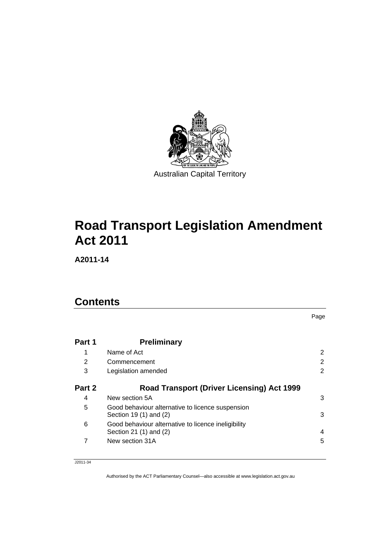

# **[Road Transport Legislation Amendment](#page-2-0)  [Act 2011](#page-2-0)**

**A2011-14** 

### **Contents**

**Part 1 Preliminary** 1 Name of Act [2](#page-3-0) [2](#page-3-0) Commencement 2 3 Legislation amended [2](#page-3-0) **Part 2 Road Transport (Driver Licensing) Act 1999** 4 New section 5A [3](#page-4-0) 5 Good behaviour alternative to licence suspension Section 19 (1) and (2)  $\hspace{1.5cm}$  [3](#page-4-0) 6 Good behaviour alternative to licence ineligibility Section 21 (1) and (2)  $\overline{a}$  [4](#page-5-0) 7 New section 31A

Page

#### J2011-34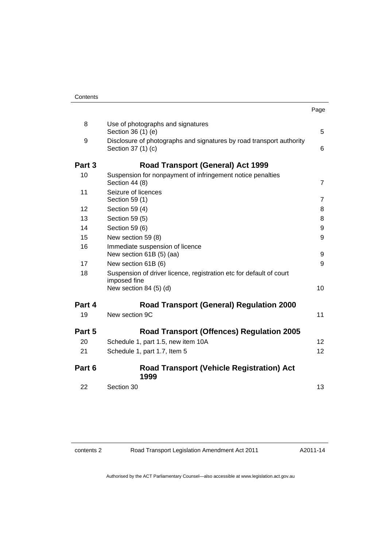| Contents |
|----------|
|----------|

|        |                                                                                                               | Page            |
|--------|---------------------------------------------------------------------------------------------------------------|-----------------|
| 8      | Use of photographs and signatures<br>Section 36 (1) (e)                                                       | 5               |
| 9      | Disclosure of photographs and signatures by road transport authority<br>Section 37 (1) (c)                    | 6               |
| Part 3 | <b>Road Transport (General) Act 1999</b>                                                                      |                 |
| 10     | Suspension for nonpayment of infringement notice penalties<br>Section 44 (8)                                  | $\overline{7}$  |
| 11     | Seizure of licences<br>Section 59 (1)                                                                         | $\overline{7}$  |
| 12     | Section 59 (4)                                                                                                | 8               |
| 13     | Section 59 (5)                                                                                                | 8               |
| 14     | Section 59 (6)                                                                                                | 9               |
| 15     | New section 59 (8)                                                                                            | 9               |
| 16     | Immediate suspension of licence<br>New section 61B (5) (aa)                                                   | 9               |
| 17     | New section 61B (6)                                                                                           | 9               |
| 18     | Suspension of driver licence, registration etc for default of court<br>imposed fine<br>New section $84(5)(d)$ | 10              |
|        |                                                                                                               |                 |
| Part 4 | <b>Road Transport (General) Regulation 2000</b>                                                               |                 |
| 19     | New section 9C                                                                                                | 11              |
| Part 5 | <b>Road Transport (Offences) Regulation 2005</b>                                                              |                 |
| 20     | Schedule 1, part 1.5, new item 10A                                                                            | 12 <sup>2</sup> |
| 21     | Schedule 1, part 1.7, Item 5                                                                                  | 12 <sup>2</sup> |
| Part 6 | <b>Road Transport (Vehicle Registration) Act</b><br>1999                                                      |                 |
| 22     | Section 30                                                                                                    | 13              |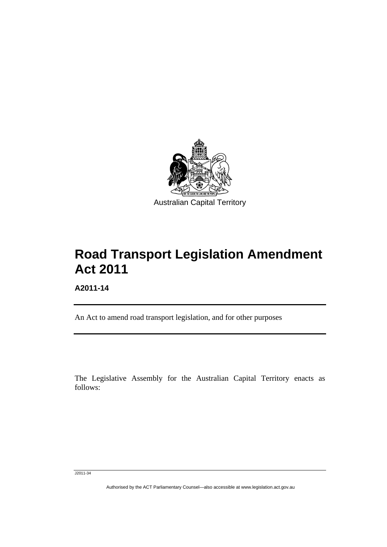<span id="page-2-0"></span>

# **Road Transport Legislation Amendment Act 2011**

**A2011-14** 

l

An Act to amend road transport legislation, and for other purposes

The Legislative Assembly for the Australian Capital Territory enacts as follows:

J2011-34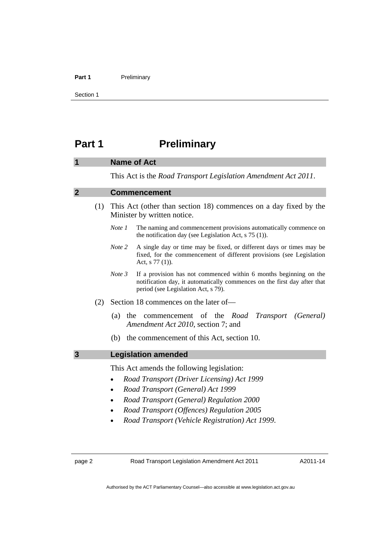#### <span id="page-3-0"></span>Part 1 **Preliminary**

Section 1

### **Part 1** Preliminary

### **1 Name of Act**  This Act is the *Road Transport Legislation Amendment Act 2011*. **2 Commencement**  (1) This Act (other than section 18) commences on a day fixed by the Minister by written notice. *Note 1* The naming and commencement provisions automatically commence on the notification day (see Legislation Act, s 75 (1)). *Note 2* A single day or time may be fixed, or different days or times may be fixed, for the commencement of different provisions (see Legislation Act, s 77 (1)). *Note 3* If a provision has not commenced within 6 months beginning on the notification day, it automatically commences on the first day after that period (see Legislation Act, s 79). (2) Section 18 commences on the later of— (a) the commencement of the *Road Transport (General) Amendment Act 2010*, section 7; and (b) the commencement of this Act, section 10. **3 Legislation amended**  This Act amends the following legislation: • *Road Transport (Driver Licensing) Act 1999*  • *Road Transport (General) Act 1999*  • *Road Transport (General) Regulation 2000*  • *Road Transport (Offences) Regulation 2005*

• *Road Transport (Vehicle Registration) Act 1999*.

page 2 Road Transport Legislation Amendment Act 2011

A2011-14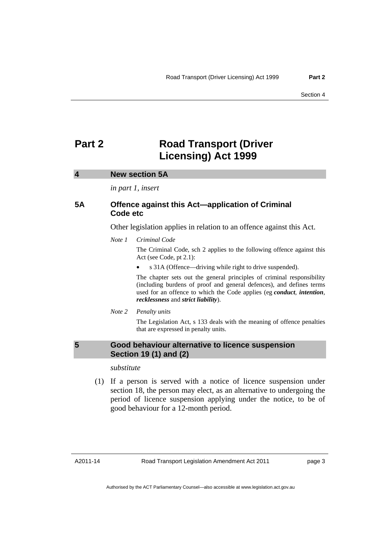### <span id="page-4-0"></span>**Part 2** Road Transport (Driver **Licensing) Act 1999**

#### **4 New section 5A**

*in part 1, insert* 

#### **5A Offence against this Act—application of Criminal Code etc**

Other legislation applies in relation to an offence against this Act.

#### *Note 1 Criminal Code*

The Criminal Code, sch 2 applies to the following offence against this Act (see Code, pt 2.1):

s 31A (Offence—driving while right to drive suspended).

The chapter sets out the general principles of criminal responsibility (including burdens of proof and general defences), and defines terms used for an offence to which the Code applies (eg *conduct*, *intention*, *recklessness* and *strict liability*).

*Note 2 Penalty units* 

The Legislation Act, s 133 deals with the meaning of offence penalties that are expressed in penalty units.

#### **5 Good behaviour alternative to licence suspension Section 19 (1) and (2)**

#### *substitute*

 (1) If a person is served with a notice of licence suspension under section 18, the person may elect, as an alternative to undergoing the period of licence suspension applying under the notice, to be of good behaviour for a 12-month period.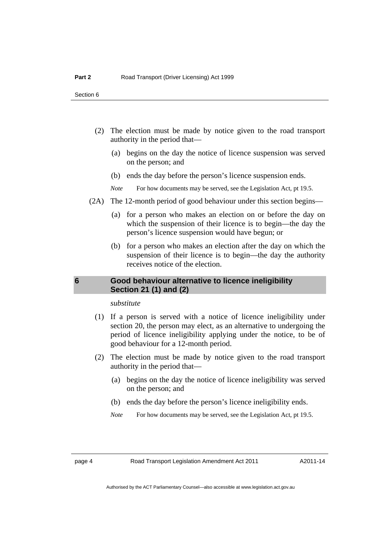- <span id="page-5-0"></span> (2) The election must be made by notice given to the road transport authority in the period that—
	- (a) begins on the day the notice of licence suspension was served on the person; and
	- (b) ends the day before the person's licence suspension ends.
	- *Note* For how documents may be served, see the Legislation Act, pt 19.5.
- (2A) The 12-month period of good behaviour under this section begins—
	- (a) for a person who makes an election on or before the day on which the suspension of their licence is to begin—the day the person's licence suspension would have begun; or
	- (b) for a person who makes an election after the day on which the suspension of their licence is to begin—the day the authority receives notice of the election.

#### **6 Good behaviour alternative to licence ineligibility Section 21 (1) and (2)**

*substitute* 

- (1) If a person is served with a notice of licence ineligibility under section 20, the person may elect, as an alternative to undergoing the period of licence ineligibility applying under the notice, to be of good behaviour for a 12-month period.
- (2) The election must be made by notice given to the road transport authority in the period that—
	- (a) begins on the day the notice of licence ineligibility was served on the person; and
	- (b) ends the day before the person's licence ineligibility ends.
	- *Note* For how documents may be served, see the Legislation Act, pt 19.5.

page 4 Road Transport Legislation Amendment Act 2011

A2011-14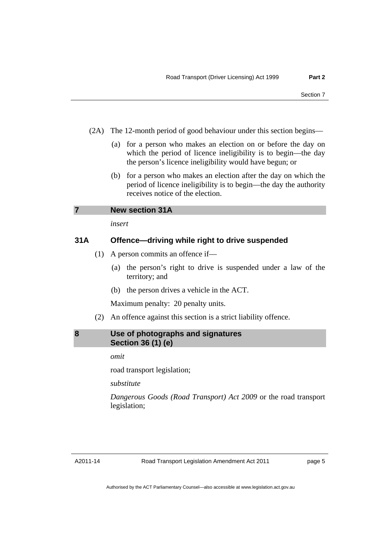- <span id="page-6-0"></span> (2A) The 12-month period of good behaviour under this section begins—
	- (a) for a person who makes an election on or before the day on which the period of licence ineligibility is to begin—the day the person's licence ineligibility would have begun; or
	- (b) for a person who makes an election after the day on which the period of licence ineligibility is to begin—the day the authority receives notice of the election.

*insert* 

#### **31A Offence—driving while right to drive suspended**

- (1) A person commits an offence if—
	- (a) the person's right to drive is suspended under a law of the territory; and
	- (b) the person drives a vehicle in the ACT.

Maximum penalty: 20 penalty units.

(2) An offence against this section is a strict liability offence.

#### **8 Use of photographs and signatures Section 36 (1) (e)**

*omit* 

road transport legislation;

*substitute* 

*Dangerous Goods (Road Transport) Act 2009* or the road transport legislation;

A2011-14

page 5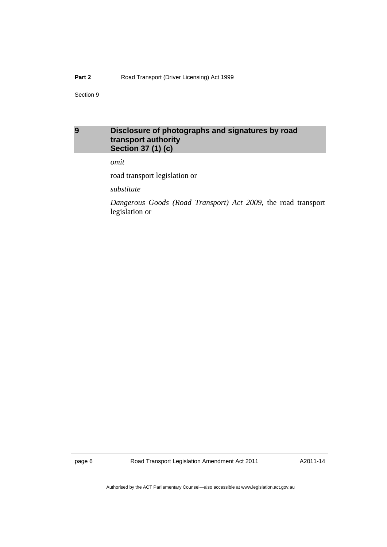#### <span id="page-7-0"></span>Part 2 **Road Transport (Driver Licensing) Act 1999**

Section 9

#### **9 Disclosure of photographs and signatures by road transport authority Section 37 (1) (c)**

*omit* 

road transport legislation or

*substitute* 

*Dangerous Goods (Road Transport) Act 2009*, the road transport legislation or

page 6 Road Transport Legislation Amendment Act 2011

A2011-14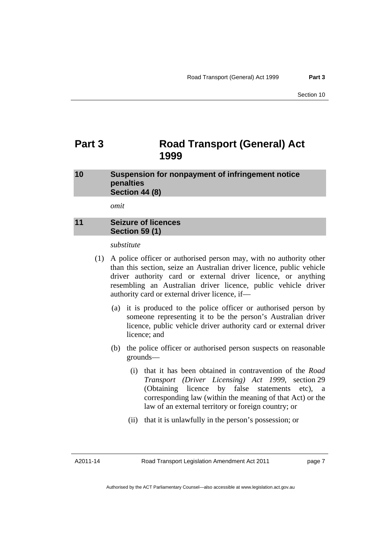### <span id="page-8-0"></span>**Part 3 Road Transport (General) Act 1999**

#### **10 Suspension for nonpayment of infringement notice penalties Section 44 (8)**

*omit* 

#### **11 Seizure of licences Section 59 (1)**

*substitute* 

- (1) A police officer or authorised person may, with no authority other than this section, seize an Australian driver licence, public vehicle driver authority card or external driver licence, or anything resembling an Australian driver licence, public vehicle driver authority card or external driver licence, if—
	- (a) it is produced to the police officer or authorised person by someone representing it to be the person's Australian driver licence, public vehicle driver authority card or external driver licence; and
	- (b) the police officer or authorised person suspects on reasonable grounds—
		- (i) that it has been obtained in contravention of the *Road Transport (Driver Licensing) Act 1999*, section 29 (Obtaining licence by false statements etc), a corresponding law (within the meaning of that Act) or the law of an external territory or foreign country; or
		- (ii) that it is unlawfully in the person's possession; or

A2011-14

page 7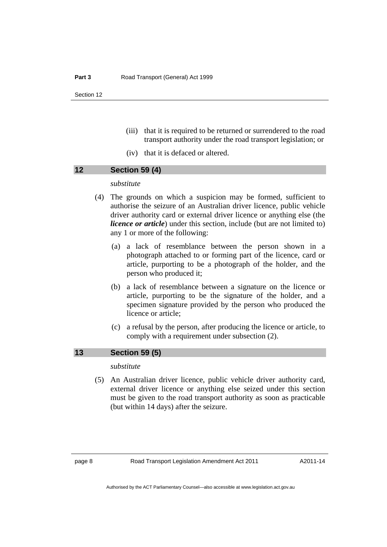- <span id="page-9-0"></span> (iii) that it is required to be returned or surrendered to the road transport authority under the road transport legislation; or
- (iv) that it is defaced or altered.

#### **12 Section 59 (4)**

#### *substitute*

- (4) The grounds on which a suspicion may be formed, sufficient to authorise the seizure of an Australian driver licence, public vehicle driver authority card or external driver licence or anything else (the *licence or article*) under this section, include (but are not limited to) any 1 or more of the following:
	- (a) a lack of resemblance between the person shown in a photograph attached to or forming part of the licence, card or article, purporting to be a photograph of the holder, and the person who produced it;
	- (b) a lack of resemblance between a signature on the licence or article, purporting to be the signature of the holder, and a specimen signature provided by the person who produced the licence or article;
	- (c) a refusal by the person, after producing the licence or article, to comply with a requirement under subsection (2).

#### **13 Section 59 (5)**

*substitute* 

 (5) An Australian driver licence, public vehicle driver authority card, external driver licence or anything else seized under this section must be given to the road transport authority as soon as practicable (but within 14 days) after the seizure.

A2011-14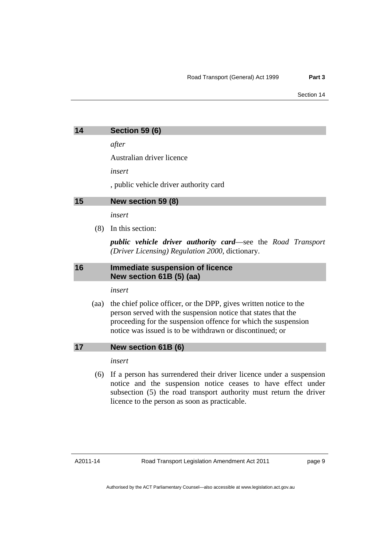<span id="page-10-0"></span>

| 14 | <b>Section 59 (6)</b> |  |
|----|-----------------------|--|
|    |                       |  |

*after* 

Australian driver licence

*insert* 

, public vehicle driver authority card

#### **15 New section 59 (8)**

*insert* 

(8) In this section:

*public vehicle driver authority card*—see the *Road Transport (Driver Licensing) Regulation 2000*, dictionary.

#### **16 Immediate suspension of licence New section 61B (5) (aa)**

*insert* 

 (aa) the chief police officer, or the DPP, gives written notice to the person served with the suspension notice that states that the proceeding for the suspension offence for which the suspension notice was issued is to be withdrawn or discontinued; or

#### **17 New section 61B (6)**

*insert* 

 (6) If a person has surrendered their driver licence under a suspension notice and the suspension notice ceases to have effect under subsection (5) the road transport authority must return the driver licence to the person as soon as practicable.

page 9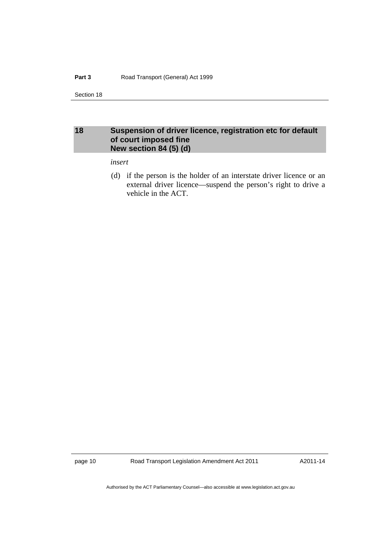#### <span id="page-11-0"></span>**18 Suspension of driver licence, registration etc for default of court imposed fine New section 84 (5) (d)**

*insert* 

 (d) if the person is the holder of an interstate driver licence or an external driver licence—suspend the person's right to drive a vehicle in the ACT.

page 10 Road Transport Legislation Amendment Act 2011

A2011-14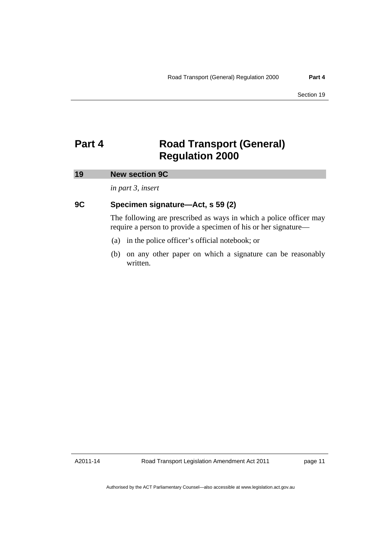### <span id="page-12-0"></span>**Part 4 Road Transport (General) Regulation 2000**

#### **19 New section 9C**

*in part 3, insert* 

#### **9C Specimen signature—Act, s 59 (2)**

The following are prescribed as ways in which a police officer may require a person to provide a specimen of his or her signature—

- (a) in the police officer's official notebook; or
- (b) on any other paper on which a signature can be reasonably written.

A2011-14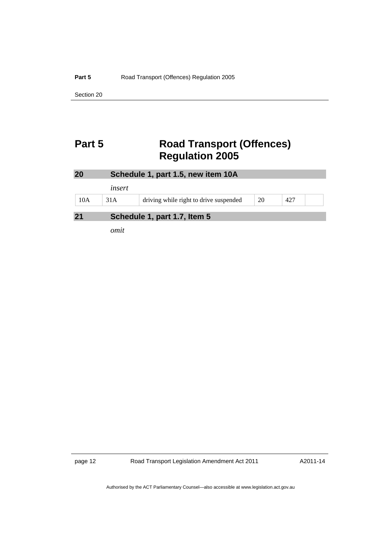## <span id="page-13-0"></span>**Part 5** Road Transport (Offences) **Regulation 2005**

| 20  | Schedule 1, part 1.5, new item 10A |                                        |    |     |  |  |
|-----|------------------------------------|----------------------------------------|----|-----|--|--|
|     | insert                             |                                        |    |     |  |  |
| 10A | 31A                                | driving while right to drive suspended | 20 | 427 |  |  |
| 21  |                                    | Schedule 1, part 1.7, Item 5           |    |     |  |  |
|     | omit                               |                                        |    |     |  |  |

page 12 Road Transport Legislation Amendment Act 2011

A2011-14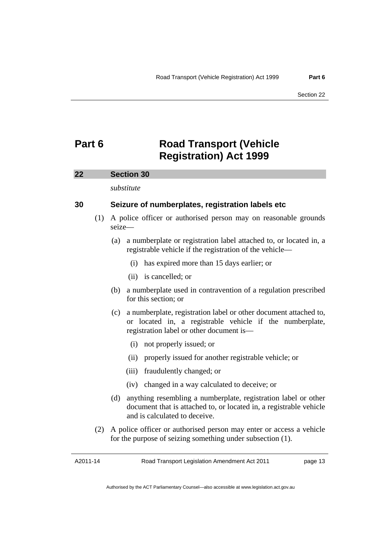### <span id="page-14-0"></span>**Part 6 Road Transport (Vehicle Registration) Act 1999**

#### **22 Section 30**

*substitute* 

#### **30 Seizure of numberplates, registration labels etc**

- (1) A police officer or authorised person may on reasonable grounds seize—
	- (a) a numberplate or registration label attached to, or located in, a registrable vehicle if the registration of the vehicle—
		- (i) has expired more than 15 days earlier; or
		- (ii) is cancelled; or
	- (b) a numberplate used in contravention of a regulation prescribed for this section; or
	- (c) a numberplate, registration label or other document attached to, or located in, a registrable vehicle if the numberplate, registration label or other document is—
		- (i) not properly issued; or
		- (ii) properly issued for another registrable vehicle; or
		- (iii) fraudulently changed; or
		- (iv) changed in a way calculated to deceive; or
	- (d) anything resembling a numberplate, registration label or other document that is attached to, or located in, a registrable vehicle and is calculated to deceive.
- (2) A police officer or authorised person may enter or access a vehicle for the purpose of seizing something under subsection (1).

A2011-14

Road Transport Legislation Amendment Act 2011

page 13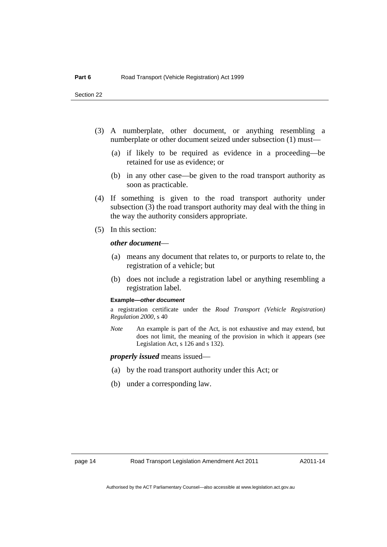- (3) A numberplate, other document, or anything resembling a numberplate or other document seized under subsection (1) must—
	- (a) if likely to be required as evidence in a proceeding—be retained for use as evidence; or
	- (b) in any other case—be given to the road transport authority as soon as practicable.
- (4) If something is given to the road transport authority under subsection (3) the road transport authority may deal with the thing in the way the authority considers appropriate.
- (5) In this section:

#### *other document*—

- (a) means any document that relates to, or purports to relate to, the registration of a vehicle; but
- (b) does not include a registration label or anything resembling a registration label.

#### **Example—***other document*

a registration certificate under the *Road Transport (Vehicle Registration) Regulation 2000*, s 40

*Note* An example is part of the Act, is not exhaustive and may extend, but does not limit, the meaning of the provision in which it appears (see Legislation Act, s 126 and s 132).

*properly issued* means issued—

- (a) by the road transport authority under this Act; or
- (b) under a corresponding law.